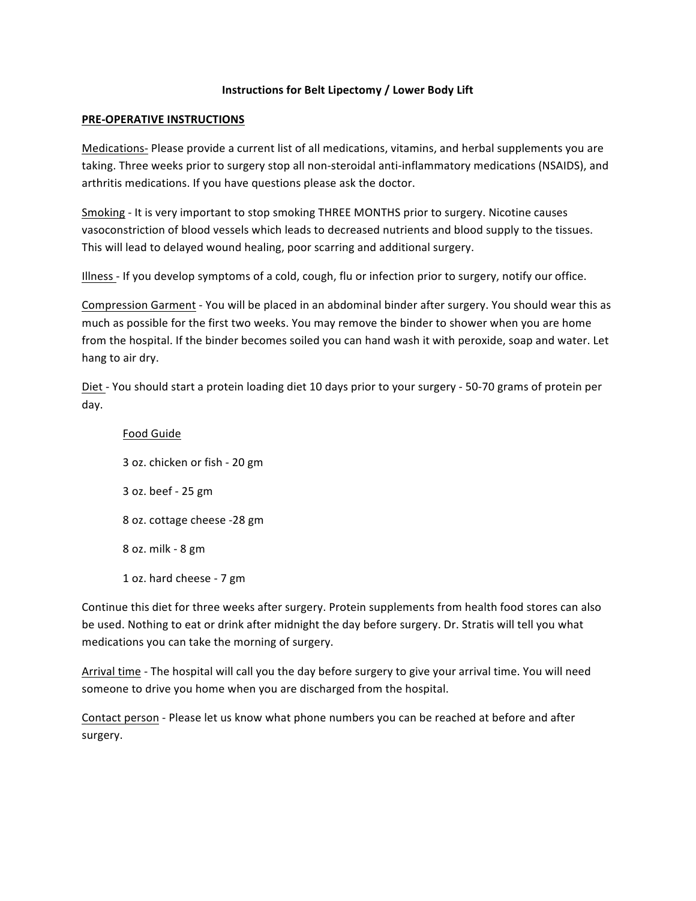#### **Instructions for Belt Lipectomy / Lower Body Lift**

#### **PRE-OPERATIVE INSTRUCTIONS**

Medications- Please provide a current list of all medications, vitamins, and herbal supplements you are taking. Three weeks prior to surgery stop all non-steroidal anti-inflammatory medications (NSAIDS), and arthritis medications. If you have questions please ask the doctor.

Smoking - It is very important to stop smoking THREE MONTHS prior to surgery. Nicotine causes vasoconstriction of blood vessels which leads to decreased nutrients and blood supply to the tissues. This will lead to delayed wound healing, poor scarring and additional surgery.

Illness - If you develop symptoms of a cold, cough, flu or infection prior to surgery, notify our office.

Compression Garment - You will be placed in an abdominal binder after surgery. You should wear this as much as possible for the first two weeks. You may remove the binder to shower when you are home from the hospital. If the binder becomes soiled you can hand wash it with peroxide, soap and water. Let hang to air dry.

Diet - You should start a protein loading diet 10 days prior to your surgery - 50-70 grams of protein per day.

Food Guide 3 oz. chicken or fish - 20 gm 3 oz. beef - 25 gm 8 oz. cottage cheese -28 gm 8 oz. milk - 8 gm 1 oz. hard cheese - 7 gm

Continue this diet for three weeks after surgery. Protein supplements from health food stores can also be used. Nothing to eat or drink after midnight the day before surgery. Dr. Stratis will tell you what medications you can take the morning of surgery.

Arrival time - The hospital will call you the day before surgery to give your arrival time. You will need someone to drive you home when you are discharged from the hospital.

Contact person - Please let us know what phone numbers you can be reached at before and after surgery.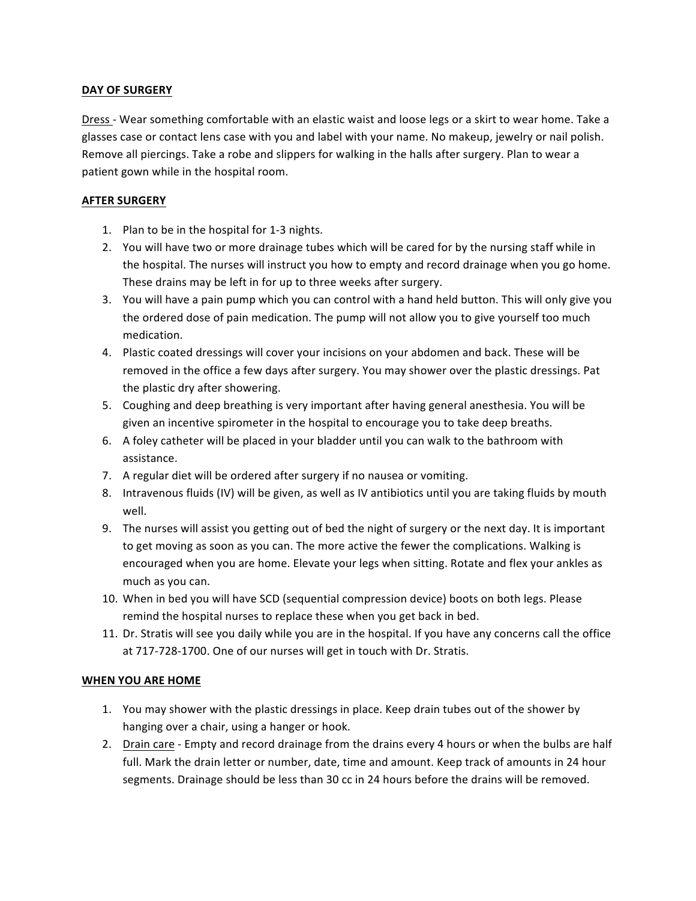# **DAY OF SURGERY**

Dress - Wear something comfortable with an elastic waist and loose legs or a skirt to wear home. Take a glasses case or contact lens case with you and label with your name. No makeup, jewelry or nail polish. Remove all piercings. Take a robe and slippers for walking in the halls after surgery. Plan to wear a patient gown while in the hospital room.

### **AFTER SURGERY**

- 1. Plan to be in the hospital for 1-3 nights.
- 2. You will have two or more drainage tubes which will be cared for by the nursing staff while in the hospital. The nurses will instruct you how to empty and record drainage when you go home. These drains may be left in for up to three weeks after surgery.
- 3. You will have a pain pump which you can control with a hand held button. This will only give you the ordered dose of pain medication. The pump will not allow you to give yourself too much medication.
- 4. Plastic coated dressings will cover your incisions on your abdomen and back. These will be removed in the office a few days after surgery. You may shower over the plastic dressings. Pat the plastic dry after showering.
- 5. Coughing and deep breathing is very important after having general anesthesia. You will be given an incentive spirometer in the hospital to encourage you to take deep breaths.
- 6. A foley catheter will be placed in your bladder until you can walk to the bathroom with assistance.
- 7. A regular diet will be ordered after surgery if no nausea or vomiting.
- 8. Intravenous fluids (IV) will be given, as well as IV antibiotics until you are taking fluids by mouth well.
- 9. The nurses will assist you getting out of bed the night of surgery or the next day. It is important to get moving as soon as you can. The more active the fewer the complications. Walking is encouraged when you are home. Elevate your legs when sitting. Rotate and flex your ankles as much as you can.
- 10. When in bed you will have SCD (sequential compression device) boots on both legs. Please remind the hospital nurses to replace these when you get back in bed.
- 11. Dr. Stratis will see you daily while you are in the hospital. If you have any concerns call the office at 717-728-1700. One of our nurses will get in touch with Dr. Stratis.

# **WHEN YOU ARE HOME**

- 1. You may shower with the plastic dressings in place. Keep drain tubes out of the shower by hanging over a chair, using a hanger or hook.
- 2. Drain care Empty and record drainage from the drains every 4 hours or when the bulbs are half full. Mark the drain letter or number, date, time and amount. Keep track of amounts in 24 hour segments. Drainage should be less than 30 cc in 24 hours before the drains will be removed.